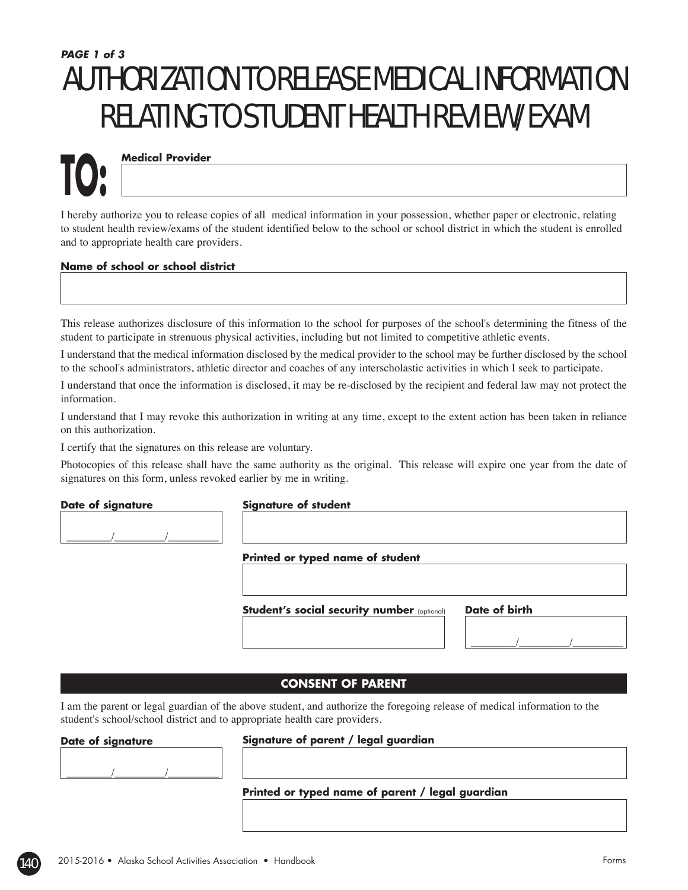# AUTHORIZATION TO RELEASE MEDICAL INFORMATION RELATING TO STUDENT HEALTH REVIEW/EXAM *PAGE 1 of 3*

**Medical Provider TO:**

I hereby authorize you to release copies of all medical information in your possession, whether paper or electronic, relating to student health review/exams of the student identified below to the school or school district in which the student is enrolled and to appropriate health care providers.

#### **Name of school or school district**

This release authorizes disclosure of this information to the school for purposes of the school's determining the fitness of the student to participate in strenuous physical activities, including but not limited to competitive athletic events.

I understand that the medical information disclosed by the medical provider to the school may be further disclosed by the school to the school's administrators, athletic director and coaches of any interscholastic activities in which I seek to participate.

I understand that once the information is disclosed, it may be re-disclosed by the recipient and federal law may not protect the information.

I understand that I may revoke this authorization in writing at any time, except to the extent action has been taken in reliance on this authorization.

I certify that the signatures on this release are voluntary.

Photocopies of this release shall have the same authority as the original. This release will expire one year from the date of signatures on this form, unless revoked earlier by me in writing.

| Date of signature | <b>Signature of student</b>                                         |  |  |  |  |  |
|-------------------|---------------------------------------------------------------------|--|--|--|--|--|
|                   |                                                                     |  |  |  |  |  |
|                   | Printed or typed name of student                                    |  |  |  |  |  |
|                   |                                                                     |  |  |  |  |  |
|                   | <b>Student's social security number (optional)</b><br>Date of birth |  |  |  |  |  |

### **CONSENT OF PARENT**

I am the parent or legal guardian of the above student, and authorize the foregoing release of medical information to the student's school/school district and to appropriate health care providers.

#### **Date of signature**

\_\_\_\_\_\_\_\_/\_\_\_\_\_\_\_\_\_/\_\_\_\_\_\_\_\_\_

#### **Signature of parent / legal guardian**

**Printed or typed name of parent / legal guardian**



\_\_\_\_\_\_\_\_/\_\_\_\_\_\_\_\_\_/\_\_\_\_\_\_\_\_\_

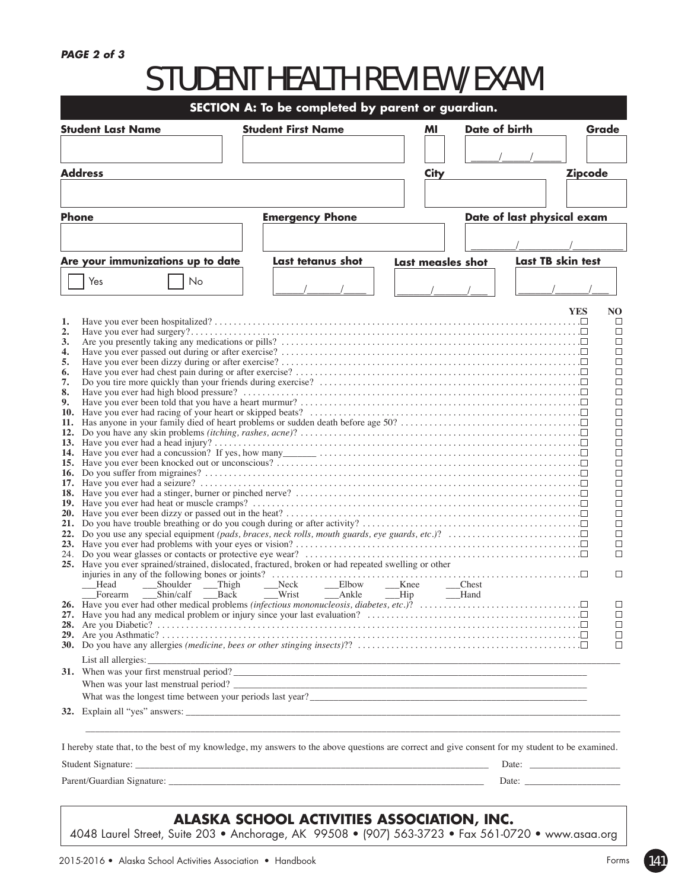#### *PAGE 2 of 3*

# STUDENT HEALTH REVIEW/EXAM

|                                                                                                                                                 |                 | SECTION A: To be completed by parent or guardian.         |            |                   |                      |                            |                |                                                |
|-------------------------------------------------------------------------------------------------------------------------------------------------|-----------------|-----------------------------------------------------------|------------|-------------------|----------------------|----------------------------|----------------|------------------------------------------------|
| <b>Student Last Name</b>                                                                                                                        |                 | <b>Student First Name</b>                                 |            | MI                | <b>Date of birth</b> |                            |                | Grade                                          |
|                                                                                                                                                 |                 |                                                           |            |                   |                      |                            |                |                                                |
| <b>Address</b>                                                                                                                                  |                 |                                                           |            | City              |                      |                            | <b>Zipcode</b> |                                                |
|                                                                                                                                                 |                 |                                                           |            |                   |                      |                            |                |                                                |
|                                                                                                                                                 |                 |                                                           |            |                   |                      |                            |                |                                                |
| <b>Phone</b>                                                                                                                                    |                 | <b>Emergency Phone</b>                                    |            |                   |                      | Date of last physical exam |                |                                                |
|                                                                                                                                                 |                 |                                                           |            |                   |                      |                            |                |                                                |
| Are your immunizations up to date                                                                                                               |                 | Last tetanus shot                                         |            | Last measles shot |                      | Last TB skin test          |                |                                                |
| Yes                                                                                                                                             | No              |                                                           |            |                   |                      |                            |                |                                                |
|                                                                                                                                                 |                 |                                                           |            |                   |                      |                            |                |                                                |
| 1.<br>2.<br>3.<br>4.                                                                                                                            |                 |                                                           |            |                   |                      |                            | <b>YES</b>     | NO.<br>$\Box$<br>$\Box$<br>$\Box$<br>$\Box$    |
| 5.<br>6.<br>7.<br>8.                                                                                                                            |                 |                                                           |            |                   |                      |                            |                | $\Box$<br>$\Box$<br>$\Box$<br>$\Box$           |
| 9.<br>10.<br>11.<br>12.                                                                                                                         |                 |                                                           |            |                   |                      |                            |                | $\Box$<br>$\Box$<br>$\Box$<br>$\Box$<br>$\Box$ |
|                                                                                                                                                 |                 |                                                           |            |                   |                      |                            |                | $\Box$<br>$\Box$<br>$\Box$<br>$\Box$           |
|                                                                                                                                                 |                 |                                                           |            |                   |                      |                            |                | $\Box$<br>$\Box$<br>$\Box$<br>$\Box$<br>$\Box$ |
| 25. Have you ever sprained/strained, dislocated, fractured, broken or had repeated swelling or other                                            |                 |                                                           |            |                   |                      |                            |                | $\Box$<br>□<br>□                               |
| Head<br>__Shoulder<br>Forearm<br>Shin/calf                                                                                                      | __Thigh<br>Back | Neck Elbow Knee Chest<br>Wrist<br>$-Ankle$                | $\rm{Hip}$ |                   | Hand                 |                            |                | ப<br>□<br>$\Box$<br>□<br>$\Box$                |
|                                                                                                                                                 |                 | What was the longest time between your periods last year? |            |                   |                      |                            |                |                                                |
|                                                                                                                                                 |                 |                                                           |            |                   |                      |                            |                |                                                |
| I hereby state that, to the best of my knowledge, my answers to the above questions are correct and give consent for my student to be examined. |                 |                                                           |            |                   |                      |                            |                |                                                |
|                                                                                                                                                 |                 |                                                           |            |                   |                      |                            |                |                                                |
|                                                                                                                                                 |                 |                                                           |            |                   |                      |                            |                |                                                |

## **ALASKA SCHOOL ACTIVITIES ASSOCIATION, INC.**

4048 Laurel Street, Suite 203 • Anchorage, AK 99508 • (907) 563-3723 • Fax 561-0720 • www.asaa.org